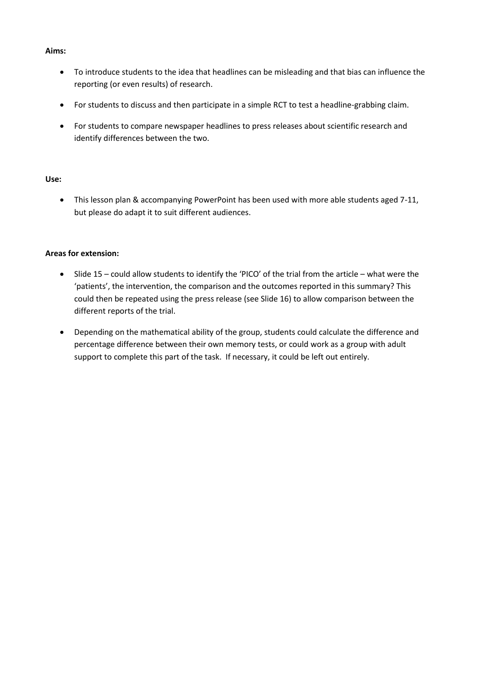## **Aims:**

- To introduce students to the idea that headlines can be misleading and that bias can influence the reporting (or even results) of research.
- For students to discuss and then participate in a simple RCT to test a headline-grabbing claim.
- For students to compare newspaper headlines to press releases about scientific research and identify differences between the two.

## **Use:**

 This lesson plan & accompanying PowerPoint has been used with more able students aged 7-11, but please do adapt it to suit different audiences.

## **Areas for extension:**

- Slide 15 could allow students to identify the 'PICO' of the trial from the article what were the 'patients', the intervention, the comparison and the outcomes reported in this summary? This could then be repeated using the press release (see Slide 16) to allow comparison between the different reports of the trial.
- Depending on the mathematical ability of the group, students could calculate the difference and percentage difference between their own memory tests, or could work as a group with adult support to complete this part of the task. If necessary, it could be left out entirely.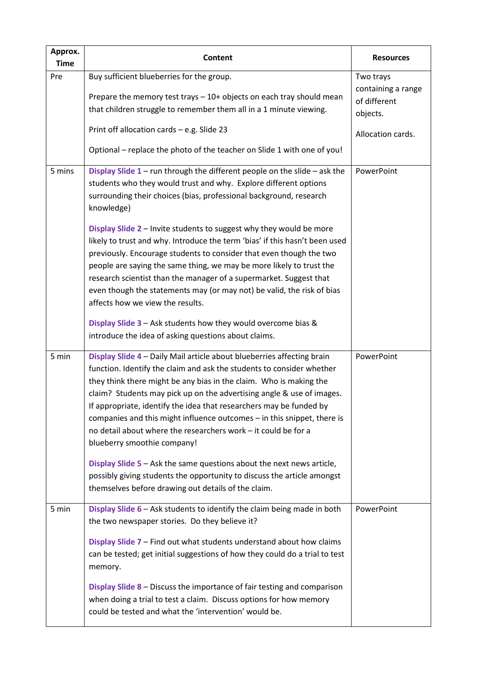| Approx.<br><b>Time</b> | <b>Content</b>                                                                                                                                                                                                                                                                                                                                                                                                                                                                                                                                                                                                                                                                                                                                                                                                                                        | <b>Resources</b>                                                                 |
|------------------------|-------------------------------------------------------------------------------------------------------------------------------------------------------------------------------------------------------------------------------------------------------------------------------------------------------------------------------------------------------------------------------------------------------------------------------------------------------------------------------------------------------------------------------------------------------------------------------------------------------------------------------------------------------------------------------------------------------------------------------------------------------------------------------------------------------------------------------------------------------|----------------------------------------------------------------------------------|
| Pre                    | Buy sufficient blueberries for the group.<br>Prepare the memory test trays - 10+ objects on each tray should mean<br>that children struggle to remember them all in a 1 minute viewing.<br>Print off allocation cards - e.g. Slide 23<br>Optional - replace the photo of the teacher on Slide 1 with one of you!                                                                                                                                                                                                                                                                                                                                                                                                                                                                                                                                      | Two trays<br>containing a range<br>of different<br>objects.<br>Allocation cards. |
| 5 mins                 | Display Slide $1$ – run through the different people on the slide – ask the<br>students who they would trust and why. Explore different options<br>surrounding their choices (bias, professional background, research<br>knowledge)<br>Display Slide 2 - Invite students to suggest why they would be more<br>likely to trust and why. Introduce the term 'bias' if this hasn't been used<br>previously. Encourage students to consider that even though the two<br>people are saying the same thing, we may be more likely to trust the<br>research scientist than the manager of a supermarket. Suggest that<br>even though the statements may (or may not) be valid, the risk of bias<br>affects how we view the results.<br>Display Slide 3 - Ask students how they would overcome bias &<br>introduce the idea of asking questions about claims. | PowerPoint                                                                       |
| 5 min                  | Display Slide 4 - Daily Mail article about blueberries affecting brain<br>function. Identify the claim and ask the students to consider whether<br>they think there might be any bias in the claim. Who is making the<br>claim? Students may pick up on the advertising angle & use of images.<br>If appropriate, identify the idea that researchers may be funded by<br>companies and this might influence outcomes - in this snippet, there is<br>no detail about where the researchers work - it could be for a<br>blueberry smoothie company!<br>Display Slide 5 - Ask the same questions about the next news article,<br>possibly giving students the opportunity to discuss the article amongst<br>themselves before drawing out details of the claim.                                                                                          | PowerPoint                                                                       |
| 5 min                  | Display Slide 6 - Ask students to identify the claim being made in both<br>the two newspaper stories. Do they believe it?<br>Display Slide 7 - Find out what students understand about how claims<br>can be tested; get initial suggestions of how they could do a trial to test<br>memory.<br>Display Slide 8 - Discuss the importance of fair testing and comparison<br>when doing a trial to test a claim. Discuss options for how memory<br>could be tested and what the 'intervention' would be.                                                                                                                                                                                                                                                                                                                                                 | PowerPoint                                                                       |